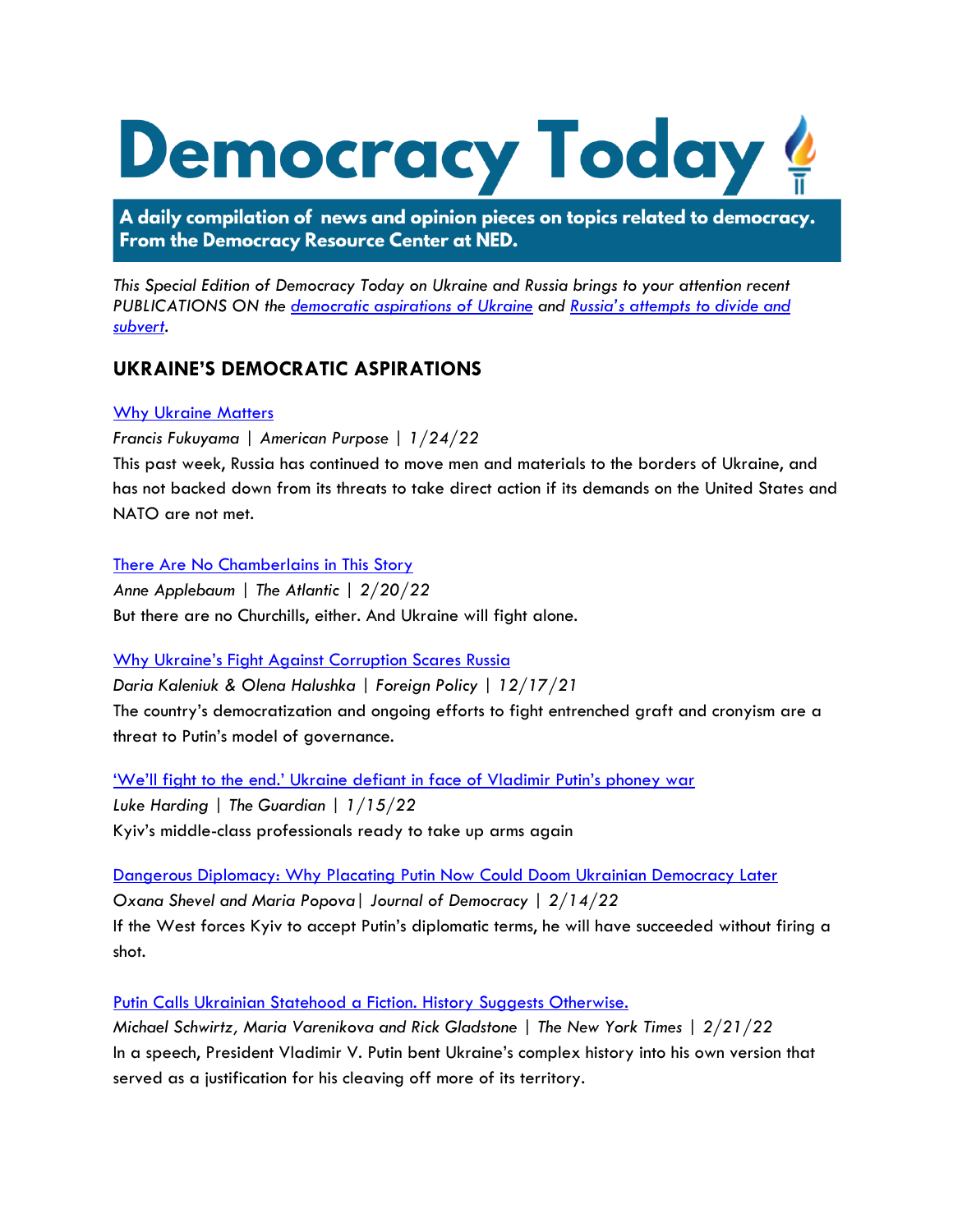# **Democracy Today!**

A daily compilation of news and opinion pieces on topics related to democracy. From the Democracy Resource Center at NED.

*This Special Edition of Democracy Today on Ukraine and Russia brings to your attention recent PUBLICATIONS ON the democratic aspirations of Ukraine and [Russia's attempts to divide and](#page-1-0)  [subvert.](#page-1-0)*

# **UKRAINE'S DEMOCRATIC ASPIRATIONS**

## [Why Ukraine Matters](https://nam02.safelinks.protection.outlook.com/?url=https%3A%2F%2Fwww.americanpurpose.com%2Fblog%2Ffukuyama%2Fwhy-ukraine-matters%2F&data=04%7C01%7CEmilyV%40ned.org%7Cc3b6a651bdca4ffd6eee08d9ebf03442%7C4e07708641b34a22b78e41daff10793d%7C1%7C0%7C637800239165624422%7CUnknown%7CTWFpbGZsb3d8eyJWIjoiMC4wLjAwMDAiLCJQIjoiV2luMzIiLCJBTiI6Ik1haWwiLCJXVCI6Mn0%3D%7C3000&sdata=oYo2pu3RxryrseNhmq02MUWXCdJn8zMxWD51hMOE6to%3D&reserved=0)

*Francis Fukuyama | American Purpose | 1/24/22*

This past week, Russia has continued to move men and materials to the borders of Ukraine, and has not backed down from its threats to take direct action if its demands on the United States and NATO are not met.

#### [There Are No Chamberlains in This Story](https://www.theatlantic.com/ideas/archive/2022/02/munich-security-conference-chamberlain/622872/)

*Anne Applebaum | The Atlantic | 2/20/22* But there are no Churchills, either. And Ukraine will fight alone.

## [Why Ukraine's Fight Against Corruption Scares Russia](https://foreignpolicy.com/2021/12/17/ukraine-russia-corruption-putin-democracy-oligarchs/)

*Daria Kaleniuk & Olena Halushka | Foreign Policy | 12/17/21* The country's democratization and ongoing efforts to fight entrenched graft and cronyism are a threat to Putin's model of governance.

['We'll fight to the end.' Ukraine defiant in face of Vladimir Putin's phoney war](https://nam02.safelinks.protection.outlook.com/?url=https%3A%2F%2Fwww.theguardian.com%2Fworld%2F2022%2Fjan%2F15%2Fwell-fight-to-the-end-ukraine-defiant-in-face-of-vladimir-putins-phoney-war&data=04%7C01%7CEmilyV%40ned.org%7Cc3b6a651bdca4ffd6eee08d9ebf03442%7C4e07708641b34a22b78e41daff10793d%7C1%7C0%7C637800239165624422%7CUnknown%7CTWFpbGZsb3d8eyJWIjoiMC4wLjAwMDAiLCJQIjoiV2luMzIiLCJBTiI6Ik1haWwiLCJXVCI6Mn0%3D%7C3000&sdata=01puOcVwOV4TdOw9j4GAHi34bxuNQci5gdzu1MaF9%2Fs%3D&reserved=0) *Luke Harding | The Guardian | 1/15/22* Kyiv's middle-class professionals ready to take up arms again

[Dangerous Diplomacy: Why Placating Putin Now Could Doom Ukrainian Democracy Later](https://www.journalofdemocracy.org/dangerous-diplomacy-why-placating-putin-now-could-doom-ukrainian-democracy-later/) *Oxana Shevel and Maria Popova| Journal of Democracy | 2/14/22* If the West forces Kyiv to accept Putin's diplomatic terms, he will have succeeded without firing a shot.

[Putin Calls Ukrainian Statehood a Fiction. History Suggests Otherwise.](https://www.nytimes.com/2022/02/21/world/europe/putin-ukraine.html)

*Michael Schwirtz, Maria Varenikova and Rick Gladstone | The New York Times | 2/21/22* In a speech, President Vladimir V. Putin bent Ukraine's complex history into his own version that served as a justification for his cleaving off more of its territory.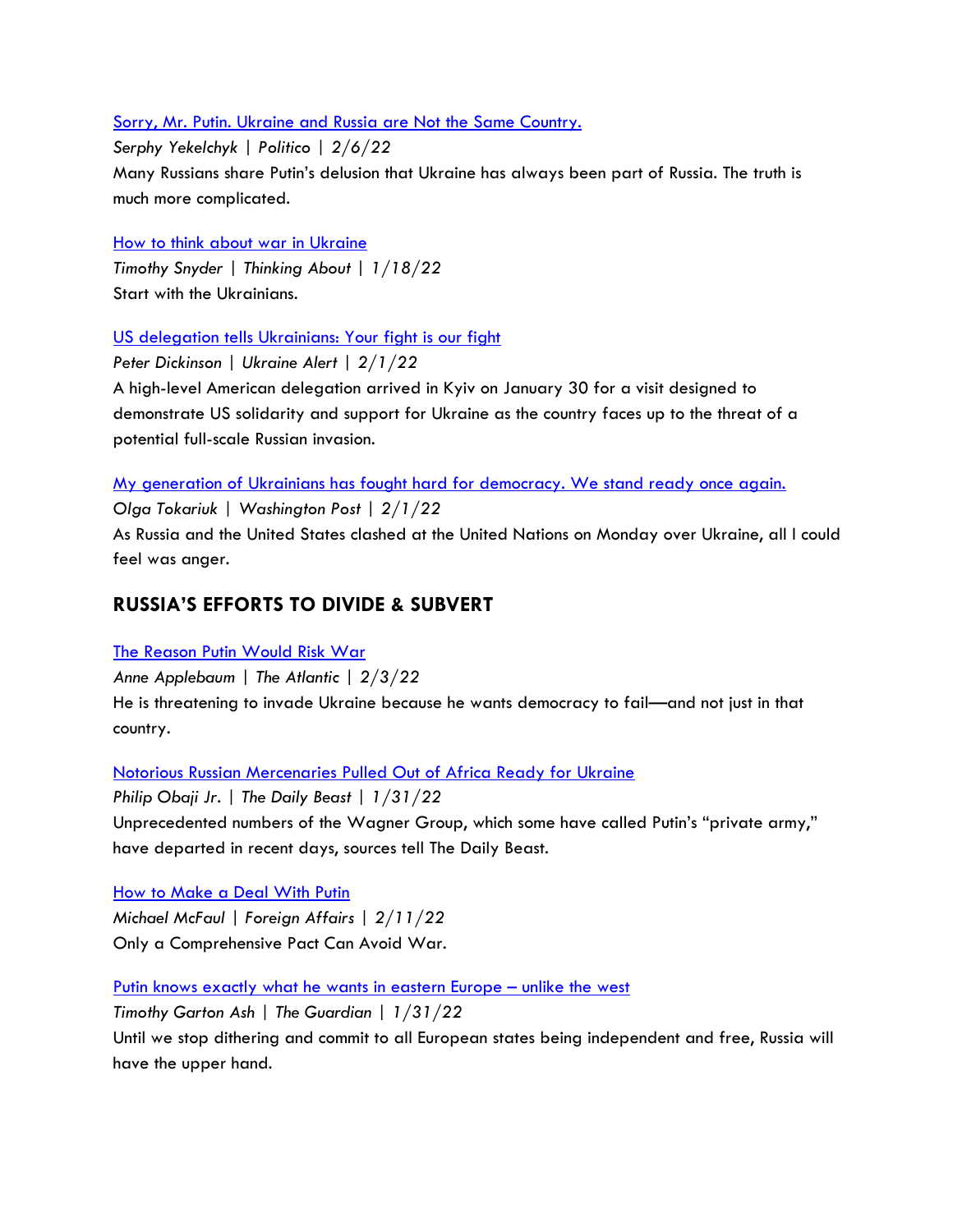[Sorry, Mr. Putin. Ukraine and Russia are Not the Same Country.](https://nam02.safelinks.protection.outlook.com/?url=https%3A%2F%2Fwww.politico.com%2Fnews%2Fmagazine%2F2022%2F02%2F06%2Fukraine-russia-not-same-country-putin-ussr-00005461&data=04%7C01%7CEmilyV%40ned.org%7Cc3b6a651bdca4ffd6eee08d9ebf03442%7C4e07708641b34a22b78e41daff10793d%7C1%7C0%7C637800239165624422%7CUnknown%7CTWFpbGZsb3d8eyJWIjoiMC4wLjAwMDAiLCJQIjoiV2luMzIiLCJBTiI6Ik1haWwiLCJXVCI6Mn0%3D%7C3000&sdata=SO60xeJw8UxyrFhpYbe8k%2BO2S6zYpSvke8aooZZNll0%3D&reserved=0)

*Serphy Yekelchyk | Politico | 2/6/22*

Many Russians share Putin's delusion that Ukraine has always been part of Russia. The truth is much more complicated.

[How to think about war in Ukraine](https://nam02.safelinks.protection.outlook.com/?url=https%3A%2F%2Fsnyder.substack.com%2Fp%2Fhow-to-think-about-war-in-ukraine&data=04%7C01%7CEmilyV%40ned.org%7Cc3b6a651bdca4ffd6eee08d9ebf03442%7C4e07708641b34a22b78e41daff10793d%7C1%7C0%7C637800239165624422%7CUnknown%7CTWFpbGZsb3d8eyJWIjoiMC4wLjAwMDAiLCJQIjoiV2luMzIiLCJBTiI6Ik1haWwiLCJXVCI6Mn0%3D%7C3000&sdata=XxBNE%2FOS2ptBhND8ZBTfTzCLOZPV1EvPKhToxQdmt%2Bo%3D&reserved=0)

*Timothy Snyder | Thinking About | 1/18/22* Start with the Ukrainians.

[US delegation tells Ukrainians: Your fight is our fight](https://nam02.safelinks.protection.outlook.com/?url=https%3A%2F%2Fwww.atlanticcouncil.org%2Fblogs%2Fukrainealert%2Fus-delegation-tells-ukrainians-your-fight-is-our-fight%2F&data=04%7C01%7CEmilyV%40ned.org%7Cc3b6a651bdca4ffd6eee08d9ebf03442%7C4e07708641b34a22b78e41daff10793d%7C1%7C0%7C637800239165624422%7CUnknown%7CTWFpbGZsb3d8eyJWIjoiMC4wLjAwMDAiLCJQIjoiV2luMzIiLCJBTiI6Ik1haWwiLCJXVCI6Mn0%3D%7C3000&sdata=qSfqzXTZxlmfhUs69pAhSC8k2jlIoZF6CtqyiMDMdp0%3D&reserved=0)

*Peter Dickinson | Ukraine Alert | 2/1/22*

A high-level American delegation arrived in Kyiv on January 30 for a visit designed to demonstrate US solidarity and support for Ukraine as the country faces up to the threat of a potential full-scale Russian invasion.

[My generation of Ukrainians has fought hard for democracy. We stand ready once again.](https://www.washingtonpost.com/opinions/2022/02/01/ukraine-russia-putin-maidan-orange-revolution/)

*Olga Tokariuk | Washington Post | 2/1/22*

As Russia and the United States clashed at the United Nations on Monday over Ukraine, all I could feel was anger.

# <span id="page-1-0"></span>**RUSSIA'S EFFORTS TO DIVIDE & SUBVERT**

#### [The Reason Putin Would Risk War](https://www.theatlantic.com/ideas/archive/2022/02/putin-ukraine-democracy/621465/)

*Anne Applebaum | The Atlantic | 2/3/22* He is threatening to invade Ukraine because he wants democracy to fail—and not just in that country.

[Notorious Russian Mercenaries Pulled Out of Africa Ready for Ukraine](https://nam02.safelinks.protection.outlook.com/?url=https%3A%2F%2Fwww.thedailybeast.com%2Fwagner-group-mercenaries-pull-out-of-africa-ready-for-ukraine&data=04%7C01%7CEmilyV%40ned.org%7Cc3b6a651bdca4ffd6eee08d9ebf03442%7C4e07708641b34a22b78e41daff10793d%7C1%7C0%7C637800239165624422%7CUnknown%7CTWFpbGZsb3d8eyJWIjoiMC4wLjAwMDAiLCJQIjoiV2luMzIiLCJBTiI6Ik1haWwiLCJXVCI6Mn0%3D%7C3000&sdata=GTg7HcAWb%2B4GlBpc5rskF5UChBWxgak0lCedmsI%2FU8Y%3D&reserved=0)

*Philip Obaji Jr. | The Daily Beast | 1/31/22* Unprecedented numbers of the Wagner Group, which some have called Putin's "private army," have departed in recent days, sources tell The Daily Beast.

[How to Make a Deal With Putin](https://www.foreignaffairs.com/articles/europe/2022-02-11/how-make-deal-putin)

*Michael McFaul* | *Foreign Affairs* | *2/11/22* Only a Comprehensive Pact Can Avoid War.

[Putin knows exactly what he wants in eastern Europe](https://nam02.safelinks.protection.outlook.com/?url=https%3A%2F%2Fwww.theguardian.com%2Fcommentisfree%2F2022%2Fjan%2F31%2Fputin-russia-eastern-europe-ukraine&data=04%7C01%7CEmilyV%40ned.org%7Cc3b6a651bdca4ffd6eee08d9ebf03442%7C4e07708641b34a22b78e41daff10793d%7C1%7C0%7C637800239165624422%7CUnknown%7CTWFpbGZsb3d8eyJWIjoiMC4wLjAwMDAiLCJQIjoiV2luMzIiLCJBTiI6Ik1haWwiLCJXVCI6Mn0%3D%7C3000&sdata=cvL6NTJmozZ0LVUVHSr4ZtOz3DNf4UNkuc0SrVfIIa8%3D&reserved=0) – unlike the west

*Timothy Garton Ash | The Guardian | 1/31/22* Until we stop dithering and commit to all European states being independent and free, Russia will have the upper hand.